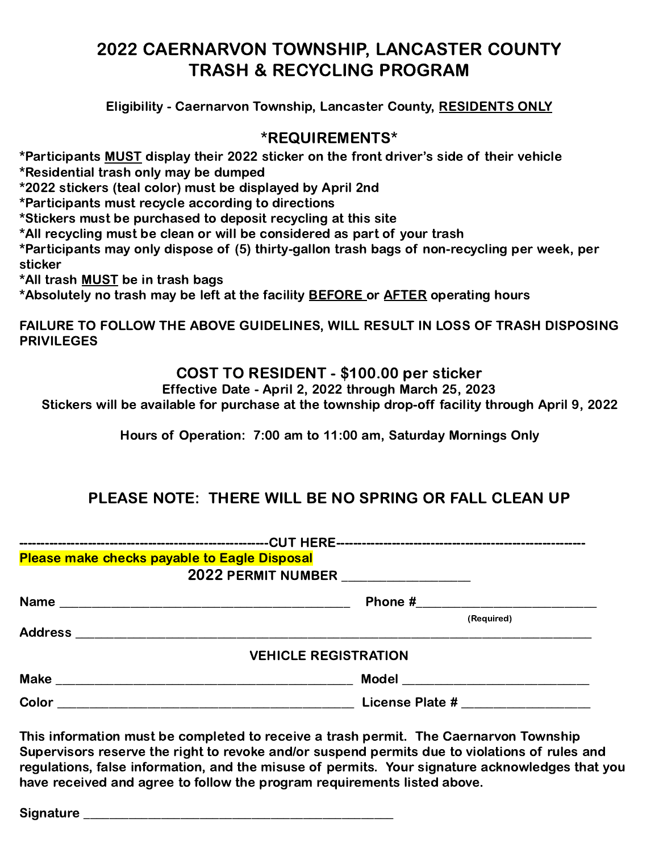# 2022 CAERNARVON TOWNSHIP, LANCASTER COUNTY TRASH & RECYCLING PROGRAM

Eligibility - Caernarvon Township, Lancaster County, RESIDENTS ONLY

#### \*REQUIREMENTS\*

\*Participants MUST display their 2022 sticker on the front driver's side of their vehicle

\*Residential trash only may be dumped

\*2022 stickers (teal color) must be displayed by April 2nd

\*Participants must recycle according to directions

\*Stickers must be purchased to deposit recycling at this site

\*All recycling must be clean or will be considered as part of your trash

\*Participants may only dispose of (5) thirty-gallon trash bags of non-recycling per week, per sticker

\*All trash MUST be in trash bags

\*Absolutely no trash may be left at the facility **BEFORE** or **AFTER** operating hours

FAILURE TO FOLLOW THE ABOVE GUIDELINES, WILL RESULT IN LOSS OF TRASH DISPOSING **PRIVILEGES** 

#### COST TO RESIDENT - \$100.00 per sticker

Effective Date - April 2, 2022 through March 25, 2023

Stickers will be available for purchase at the township drop-off facility through April 9, 2022

Hours of Operation: 7:00 am to 11:00 am, Saturday Mornings Only

## PLEASE NOTE: THERE WILL BE NO SPRING OR FALL CLEAN UP

| Please make checks payable to Eagle Disposal                                                                                           |                                      |
|----------------------------------------------------------------------------------------------------------------------------------------|--------------------------------------|
|                                                                                                                                        | 2022 PERMIT NUMBER _________________ |
|                                                                                                                                        |                                      |
|                                                                                                                                        | (Required)                           |
| <b>Address</b><br><u> 1980 - Jan Samuel Barbara, margaret e populari e populari e populari e populari e populari e populari e popu</u> |                                      |
|                                                                                                                                        | <b>VEHICLE REGISTRATION</b>          |
| <b>Make</b>                                                                                                                            | <b>Model</b>                         |
| Color<br><u> 1980 - Johann Barn, fransk politik (d. 1980)</u>                                                                          |                                      |

This information must be completed to receive a trash permit. The Caernarvon Township Supervisors reserve the right to revoke and/or suspend permits due to violations of rules and regulations, false information, and the misuse of permits. Your signature acknowledges that you have received and agree to follow the program requirements listed above.

Signature